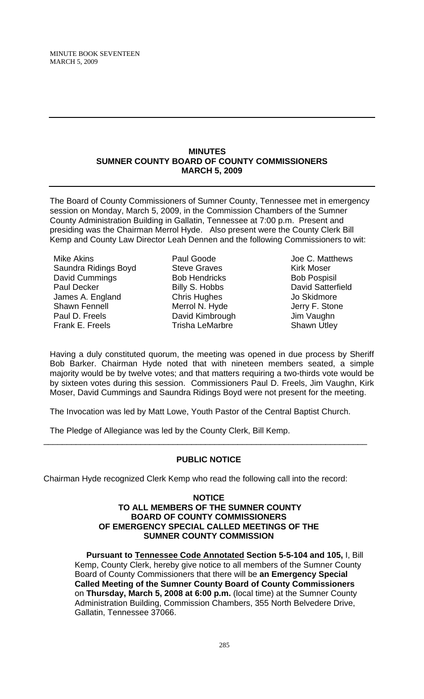#### **MINUTES SUMNER COUNTY BOARD OF COUNTY COMMISSIONERS MARCH 5, 2009**

The Board of County Commissioners of Sumner County, Tennessee met in emergency session on Monday, March 5, 2009, in the Commission Chambers of the Sumner County Administration Building in Gallatin, Tennessee at 7:00 p.m. Present and presiding was the Chairman Merrol Hyde. Also present were the County Clerk Bill Kemp and County Law Director Leah Dennen and the following Commissioners to wit:

Mike Akins Saundra Ridings Boyd David Cummings Paul Decker James A. England Shawn Fennell Paul D. Freels Frank E. Freels

Paul Goode Steve Graves Bob Hendricks Billy S. Hobbs Chris Hughes Merrol N. Hyde David Kimbrough Trisha LeMarbre

Joe C. Matthews Kirk Moser Bob Pospisil David Satterfield Jo Skidmore Jerry F. Stone Jim Vaughn Shawn Utley

Having a duly constituted quorum, the meeting was opened in due process by Sheriff Bob Barker. Chairman Hyde noted that with nineteen members seated, a simple majority would be by twelve votes; and that matters requiring a two-thirds vote would be by sixteen votes during this session. Commissioners Paul D. Freels, Jim Vaughn, Kirk Moser, David Cummings and Saundra Ridings Boyd were not present for the meeting.

The Invocation was led by Matt Lowe, Youth Pastor of the Central Baptist Church.

The Pledge of Allegiance was led by the County Clerk, Bill Kemp.

# **PUBLIC NOTICE**

\_\_\_\_\_\_\_\_\_\_\_\_\_\_\_\_\_\_\_\_\_\_\_\_\_\_\_\_\_\_\_\_\_\_\_\_\_\_\_\_\_\_\_\_\_\_\_\_\_\_\_\_\_\_\_\_\_\_\_\_\_\_\_\_\_\_\_\_\_\_

Chairman Hyde recognized Clerk Kemp who read the following call into the record:

### **NOTICE TO ALL MEMBERS OF THE SUMNER COUNTY BOARD OF COUNTY COMMISSIONERS OF EMERGENCY SPECIAL CALLED MEETINGS OF THE SUMNER COUNTY COMMISSION**

 **Pursuant to Tennessee Code Annotated Section 5-5-104 and 105,** I, Bill Kemp, County Clerk, hereby give notice to all members of the Sumner County Board of County Commissioners that there will be **an Emergency Special Called Meeting of the Sumner County Board of County Commissioners**  on **Thursday, March 5, 2008 at 6:00 p.m.** (local time) at the Sumner County Administration Building, Commission Chambers, 355 North Belvedere Drive, Gallatin, Tennessee 37066.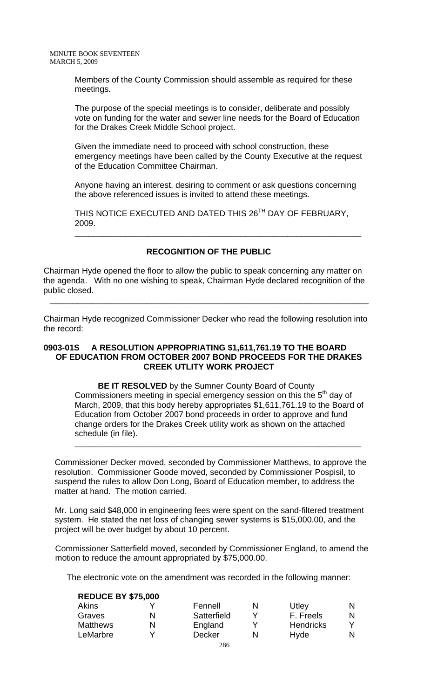Members of the County Commission should assemble as required for these meetings.

The purpose of the special meetings is to consider, deliberate and possibly vote on funding for the water and sewer line needs for the Board of Education for the Drakes Creek Middle School project.

Given the immediate need to proceed with school construction, these emergency meetings have been called by the County Executive at the request of the Education Committee Chairman.

Anyone having an interest, desiring to comment or ask questions concerning the above referenced issues is invited to attend these meetings.

THIS NOTICE EXECUTED AND DATED THIS 26<sup>TH</sup> DAY OF FEBRUARY. 2009.

\_\_\_\_\_\_\_\_\_\_\_\_\_\_\_\_\_\_\_\_\_\_\_\_\_\_\_\_\_\_\_\_\_\_\_\_\_\_\_\_\_\_\_\_\_\_\_\_\_\_\_\_\_\_\_\_\_\_\_\_\_\_

# **RECOGNITION OF THE PUBLIC**

Chairman Hyde opened the floor to allow the public to speak concerning any matter on the agenda. With no one wishing to speak, Chairman Hyde declared recognition of the public closed.

Chairman Hyde recognized Commissioner Decker who read the following resolution into the record:

\_\_\_\_\_\_\_\_\_\_\_\_\_\_\_\_\_\_\_\_\_\_\_\_\_\_\_\_\_\_\_\_\_\_\_\_\_\_\_\_\_\_\_\_\_\_\_\_\_\_\_\_\_\_\_\_\_\_\_\_\_\_\_\_\_\_\_\_\_

## **0903-01S A RESOLUTION APPROPRIATING \$1,611,761.19 TO THE BOARD OF EDUCATION FROM OCTOBER 2007 BOND PROCEEDS FOR THE DRAKES CREEK UTLITY WORK PROJECT**

 **BE IT RESOLVED** by the Sumner County Board of County Commissioners meeting in special emergency session on this the 5<sup>th</sup> day of March, 2009, that this body hereby appropriates \$1,611,761.19 to the Board of Education from October 2007 bond proceeds in order to approve and fund change orders for the Drakes Creek utility work as shown on the attached schedule (in file).

**\_\_\_\_\_\_\_\_\_\_\_\_\_\_\_\_\_\_\_\_\_\_\_\_\_\_\_\_\_\_\_\_\_\_\_\_\_\_\_\_\_\_\_\_\_\_\_\_\_\_\_\_\_\_\_\_\_\_\_\_\_\_**

Commissioner Decker moved, seconded by Commissioner Matthews, to approve the resolution. Commissioner Goode moved, seconded by Commissioner Pospisil, to suspend the rules to allow Don Long, Board of Education member, to address the matter at hand. The motion carried.

Mr. Long said \$48,000 in engineering fees were spent on the sand-filtered treatment system. He stated the net loss of changing sewer systems is \$15,000.00, and the project will be over budget by about 10 percent.

Commissioner Satterfield moved, seconded by Commissioner England, to amend the motion to reduce the amount appropriated by \$75,000.00.

The electronic vote on the amendment was recorded in the following manner:

### **REDUCE BY \$75,000**

| <b>Akins</b>    |   | Fennell     | N | Utley            | N  |
|-----------------|---|-------------|---|------------------|----|
| Graves          | N | Satterfield |   | F. Freels        | N. |
| <b>Matthews</b> | N | England     |   | <b>Hendricks</b> |    |
| LeMarbre        |   | Decker      | N | Hyde             | N  |
|                 |   | ---         |   |                  |    |